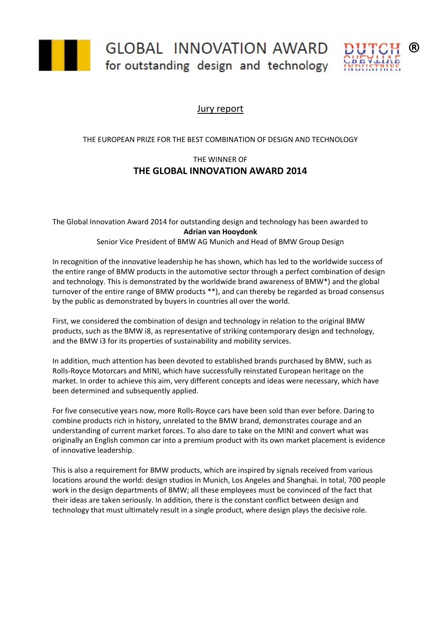

GLOBAL INNOVATION AWARD for outstanding design and technology



## Jury report

## THE EUROPEAN PRIZE FOR THE BEST COMBINATION OF DESIGN AND TECHNOLOGY

## THE WINNER OF **THE GLOBAL INNOVATION AWARD 2014**

The Global Innovation Award 2014 for outstanding design and technology has been awarded to **Adrian van Hooydonk**

Senior Vice President of BMW AG Munich and Head of BMW Group Design

In recognition of the innovative leadership he has shown, which has led to the worldwide success of the entire range of BMW products in the automotive sector through a perfect combination of design and technology. This is demonstrated by the worldwide brand awareness of BMW\*) and the global turnover of the entire range of BMW products \*\*), and can thereby be regarded as broad consensus by the public as demonstrated by buyers in countries all over the world.

First, we considered the combination of design and technology in relation to the original BMW products, such as the BMW i8, as representative of striking contemporary design and technology, and the BMW i3 for its properties of sustainability and mobility services.

In addition, much attention has been devoted to established brands purchased by BMW, such as Rolls-Royce Motorcars and MINI, which have successfully reinstated European heritage on the market. In order to achieve this aim, very different concepts and ideas were necessary, which have been determined and subsequently applied.

For five consecutive years now, more Rolls-Royce cars have been sold than ever before. Daring to combine products rich in history, unrelated to the BMW brand, demonstrates courage and an understanding of current market forces. To also dare to take on the MINI and convert what was originally an English common car into a premium product with its own market placement is evidence of innovative leadership.

This is also a requirement for BMW products, which are inspired by signals received from various locations around the world: design studios in Munich, Los Angeles and Shanghai. In total, 700 people work in the design departments of BMW; all these employees must be convinced of the fact that their ideas are taken seriously. In addition, there is the constant conflict between design and technology that must ultimately result in a single product, where design plays the decisive role.